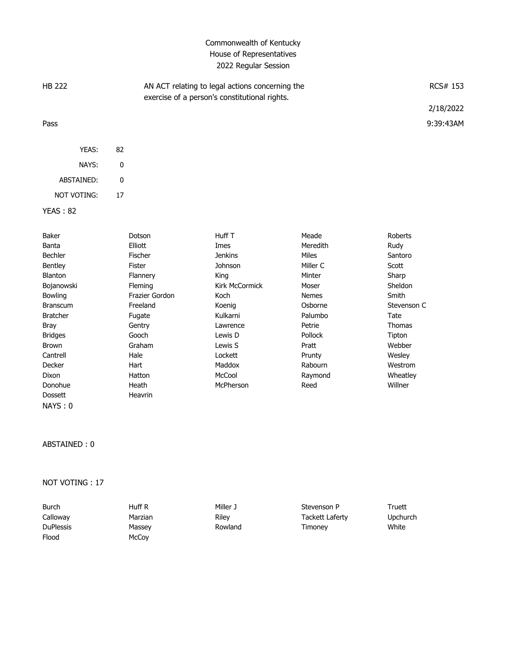## Commonwealth of Kentucky House of Representatives 2022 Regular Session

| <b>HB 222</b> |       |    | AN ACT relating to legal actions concerning the<br>exercise of a person's constitutional rights. | RCS# 153  |  |
|---------------|-------|----|--------------------------------------------------------------------------------------------------|-----------|--|
|               |       |    |                                                                                                  | 2/18/2022 |  |
| Pass          |       |    |                                                                                                  | 9:39:43AM |  |
|               | YEAS: | 82 |                                                                                                  |           |  |

| NAYS:       | O  |
|-------------|----|
| ABSTAINED:  | n  |
| NOT VOTING: | 17 |

```
YEAS : 82
```

| Baker           | Dotson         | Huff T         | Meade          | Roberts     |
|-----------------|----------------|----------------|----------------|-------------|
| Banta           | Elliott        | Imes           | Meredith       | Rudy        |
| <b>Bechler</b>  | Fischer        | <b>Jenkins</b> | Miles          | Santoro     |
| <b>Bentley</b>  | Fister         | Johnson        | Miller C       | Scott       |
| <b>Blanton</b>  | Flannery       | King           | Minter         | Sharp       |
| Bojanowski      | <b>Fleming</b> | Kirk McCormick | Moser          | Sheldon     |
| <b>Bowling</b>  | Frazier Gordon | Koch           | <b>Nemes</b>   | Smith       |
| <b>Branscum</b> | Freeland       | Koenig         | Osborne        | Stevenson C |
| <b>Bratcher</b> | Fugate         | Kulkarni       | Palumbo        | Tate        |
| Bray            | Gentry         | Lawrence       | Petrie         | Thomas      |
| <b>Bridges</b>  | Gooch          | Lewis D        | <b>Pollock</b> | Tipton      |
| Brown           | Graham         | Lewis S        | Pratt          | Webber      |
| Cantrell        | Hale           | Lockett        | Prunty         | Wesley      |
| Decker          | Hart           | Maddox         | Rabourn        | Westrom     |
| Dixon           | Hatton         | McCool         | Raymond        | Wheatley    |
| Donohue         | Heath          | McPherson      | Reed           | Willner     |
| <b>Dossett</b>  | Heavrin        |                |                |             |
| NAYS: 0         |                |                |                |             |

## ABSTAINED : 0

NOT VOTING : 17

| Burch            | Huff R  | Miller J | Stevenson P     | Truett          |
|------------------|---------|----------|-----------------|-----------------|
| Calloway         | Marzian | Riley    | Tackett Laferty | <b>Upchurch</b> |
| <b>DuPlessis</b> | Massey  | Rowland  | Timonev         | White           |
| Flood            | McCoy   |          |                 |                 |